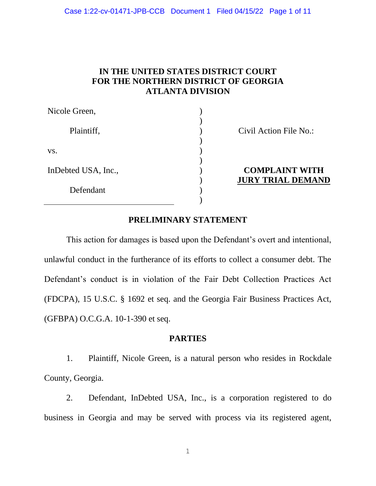## **IN THE UNITED STATES DISTRICT COURT FOR THE NORTHERN DISTRICT OF GEORGIA ATLANTA DIVISION**

| Nicole Green,       |  |
|---------------------|--|
| Plaintiff,          |  |
| VS.                 |  |
| InDebted USA, Inc., |  |
| Defendant           |  |
|                     |  |

Civil Action File No.:

## **COMPLAINT WITH JURY TRIAL DEMAND**

### **PRELIMINARY STATEMENT**

This action for damages is based upon the Defendant's overt and intentional, unlawful conduct in the furtherance of its efforts to collect a consumer debt. The Defendant's conduct is in violation of the Fair Debt Collection Practices Act (FDCPA), 15 U.S.C. § 1692 et seq. and the Georgia Fair Business Practices Act, (GFBPA) O.C.G.A. 10-1-390 et seq.

### **[PARTIES](#page-7-0)**

1. Plaintiff, Nicole Green, is a natural person who resides in Rockdale County, Georgia.

2. Defendant, InDebted USA, Inc., is a corporation registered to do business in Georgia and may be served with process via its registered agent,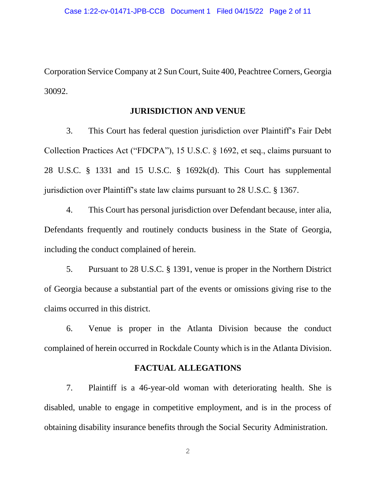Corporation Service Company at 2 Sun Court, Suite 400, Peachtree Corners, Georgia 30092.

#### **JURISDICTION AND VENUE**

3. This Court has federal question jurisdiction over Plaintiff's Fair Debt Collection Practices Act ("FDCPA"), 15 U.S.C. § 1692, et seq., claims pursuant to 28 U.S.C. § 1331 and 15 U.S.C. § 1692k(d). This Court has supplemental jurisdiction over Plaintiff's state law claims pursuant to 28 U.S.C. § 1367.

4. This Court has personal jurisdiction over Defendant because, inter alia, Defendants frequently and routinely conducts business in the State of Georgia, including the conduct complained of herein.

5. Pursuant to 28 U.S.C. § 1391, venue is proper in the Northern District of Georgia because a substantial part of the events or omissions giving rise to the claims occurred in this district.

6. Venue is proper in the Atlanta Division because the conduct complained of herein occurred in Rockdale County which is in the Atlanta Division.

### **FACTUAL ALLEGATIONS**

7. Plaintiff is a 46-year-old woman with deteriorating health. She is disabled, unable to engage in competitive employment, and is in the process of obtaining disability insurance benefits through the Social Security Administration.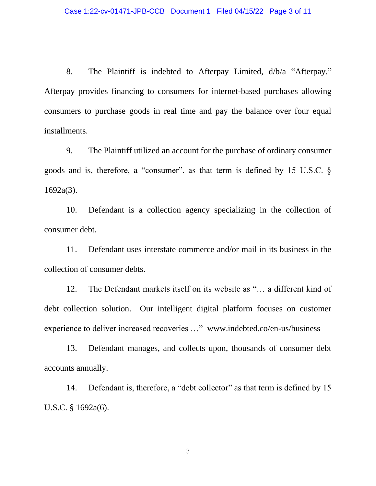8. The Plaintiff is indebted to Afterpay Limited, d/b/a "Afterpay." Afterpay provides financing to consumers for internet-based purchases allowing consumers to purchase goods in real time and pay the balance over four equal installments.

9. The Plaintiff utilized an account for the purchase of ordinary consumer goods and is, therefore, a "consumer", as that term is defined by 15 U.S.C. § 1692a(3).

10. Defendant is a collection agency specializing in the collection of consumer debt.

11. Defendant uses interstate commerce and/or mail in its business in the collection of consumer debts.

12. The Defendant markets itself on its website as "… a different kind of debt collection solution. Our intelligent digital platform focuses on customer experience to deliver increased recoveries …" www.indebted.co/en-us/business

13. Defendant manages, and collects upon, thousands of consumer debt accounts annually.

14. Defendant is, therefore, a "debt collector" as that term is defined by 15 U.S.C. § 1692a(6).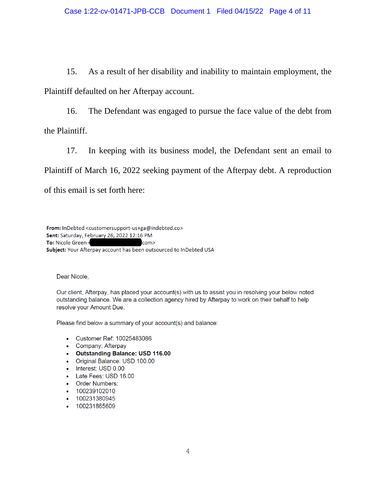15. As a result of her disability and inability to maintain employment, the Plaintiff defaulted on her Afterpay account.

16. The Defendant was engaged to pursue the face value of the debt from the Plaintiff.

17. In keeping with its business model, the Defendant sent an email to Plaintiff of March 16, 2022 seeking payment of the Afterpay debt. A reproduction of this email is set forth here:

From: InDebted <customersupport-us+ga@indebted.co> Sent: Saturday, February 26, 2022 12:16 PM To: Nicole Green < com> Subject: Your Afterpay account has been outsourced to InDebted USA

Dear Nicole,

Our client, Afterpay, has placed your account(s) with us to assist you in resolving your below noted outstanding balance. We are a collection agency hired by Afterpay to work on their behalf to help resolve your Amount Due.

Please find below a summary of your account(s) and balance:

- Customer Ref: 10025483086
- Company: Afterpay
- Outstanding Balance: USD 116.00
- Original Balance: USD 100.00
- Interest: USD 0.00
- Late Fees: USD 16.00
- Order Numbers:
- 100239102010
- 100231380945
- 100231865609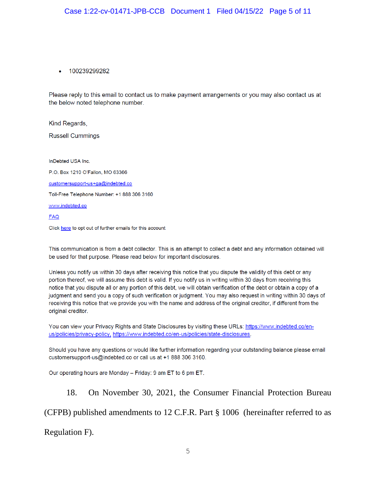#### 100239299282

Please reply to this email to contact us to make payment arrangements or you may also contact us at the below noted telephone number.

Kind Regards,

**Russell Cummings** 

InDebted USA Inc. P.O. Box 1210 O'Fallon, MO 63366 customersupport-us+ga@indebted.co Toll-Free Telephone Number: +1 888 306 3160 www.indebted.co **FAQ** Click here to opt out of further emails for this account

This communication is from a debt collector. This is an attempt to collect a debt and any information obtained will be used for that purpose. Please read below for important disclosures.

Unless you notify us within 30 days after receiving this notice that you dispute the validity of this debt or any portion thereof, we will assume this debt is valid. If you notify us in writing within 30 days from receiving this notice that you dispute all or any portion of this debt, we will obtain verification of the debt or obtain a copy of a judgment and send you a copy of such verification or judgment. You may also request in writing within 30 days of receiving this notice that we provide you with the name and address of the original creditor, if different from the original creditor.

You can view your Privacy Rights and State Disclosures by visiting these URLs: https://www.indebted.co/enus/policies/privacy-policy, https://www.indebted.co/en-us/policies/state-disclosures.

Should you have any questions or would like further information regarding your outstanding balance please email customersupport-us@indebted.co or call us at +1 888 306 3160.

Our operating hours are Monday - Friday: 9 am ET to 6 pm ET.

18. On November 30, 2021, the Consumer Financial Protection Bureau (CFPB) published amendments to 12 C.F.R. Part § 1006 (hereinafter referred to as Regulation F).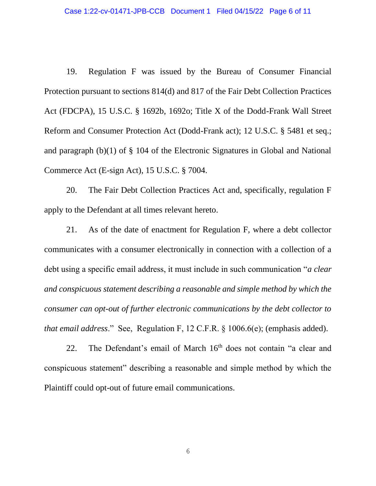19. Regulation F was issued by the Bureau of Consumer Financial Protection pursuant to sections 814(d) and 817 of the Fair Debt Collection Practices Act (FDCPA), 15 U.S.C. § 1692b, 1692o; Title X of the Dodd-Frank Wall Street Reform and Consumer Protection Act (Dodd-Frank act); 12 U.S.C. § 5481 et seq.; and paragraph (b)(1) of § 104 of the Electronic Signatures in Global and National Commerce Act (E-sign Act), 15 U.S.C. § 7004.

20. The Fair Debt Collection Practices Act and, specifically, regulation F apply to the Defendant at all times relevant hereto.

21. As of the date of enactment for Regulation F, where a debt collector communicates with a consumer electronically in connection with a collection of a debt using a specific email address, it must include in such communication "*a clear and conspicuous statement describing a reasonable and simple method by which the consumer can opt-out of further electronic communications by the debt collector to that email address*." See, Regulation F, 12 C.F.R. § 1006.6(e); (emphasis added).

22. The Defendant's email of March 16<sup>th</sup> does not contain "a clear and conspicuous statement" describing a reasonable and simple method by which the Plaintiff could opt-out of future email communications.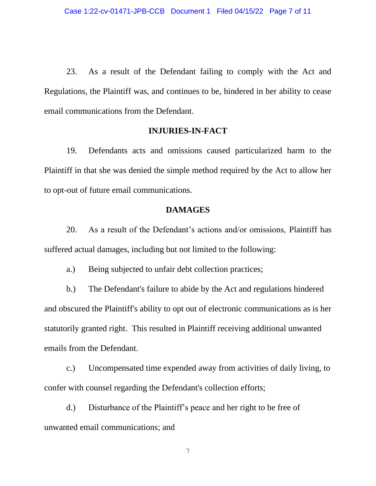23. As a result of the Defendant failing to comply with the Act and Regulations, the Plaintiff was, and continues to be, hindered in her ability to cease email communications from the Defendant.

#### **INJURIES-IN-FACT**

19. Defendants acts and omissions caused particularized harm to the Plaintiff in that she was denied the simple method required by the Act to allow her to opt-out of future email communications.

#### **DAMAGES**

20. As a result of the Defendant's actions and/or omissions, Plaintiff has suffered actual damages, including but not limited to the following:

a.) Being subjected to unfair debt collection practices;

b.) The Defendant's failure to abide by the Act and regulations hindered and obscured the Plaintiff's ability to opt out of electronic communications as is her statutorily granted right. This resulted in Plaintiff receiving additional unwanted emails from the Defendant.

c.) Uncompensated time expended away from activities of daily living, to confer with counsel regarding the Defendant's collection efforts;

d.) Disturbance of the Plaintiff's peace and her right to be free of unwanted email communications; and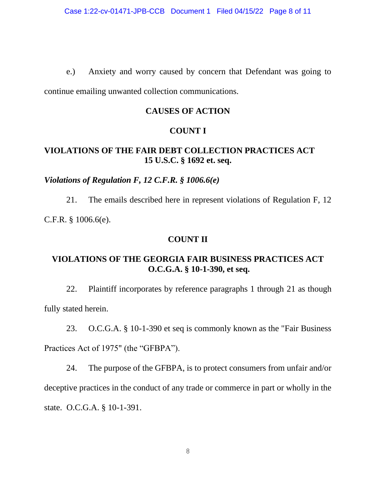e.) Anxiety and worry caused by concern that Defendant was going to continue emailing unwanted collection communications.

# **CAUSES OF ACTION**

# **COUNT I**

# **VIOLATIONS OF THE FAIR DEBT COLLECTION PRACTICES ACT 15 U.S.C. § 1692 et. seq.**

## <span id="page-7-0"></span>*Violations of Regulation F, 12 C.F.R. § 1006.6(e)*

21. The emails described here in represent violations of Regulation F, 12 C.F.R. § 1006.6(e).

## **COUNT II**

# **VIOLATIONS OF THE GEORGIA FAIR BUSINESS PRACTICES ACT O.C.G.A. § 10-1-390, et seq.**

22. Plaintiff incorporates by reference paragraphs 1 through 21 as though fully stated herein.

23. O.C.G.A. § 10-1-390 et seq is commonly known as the "Fair Business Practices Act of 1975" (the "GFBPA").

24. The purpose of the GFBPA, is to protect consumers from unfair and/or deceptive practices in the conduct of any trade or commerce in part or wholly in the state. O.C.G.A. § 10-1-391.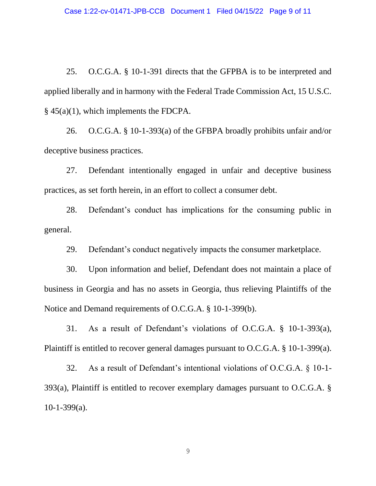25. O.C.G.A. § 10-1-391 directs that the GFPBA is to be interpreted and applied liberally and in harmony with the Federal Trade Commission Act, 15 U.S.C. § 45(a)(1), which implements the FDCPA.

26. O.C.G.A. § 10-1-393(a) of the GFBPA broadly prohibits unfair and/or deceptive business practices.

27. Defendant intentionally engaged in unfair and deceptive business practices, as set forth herein, in an effort to collect a consumer debt.

28. Defendant's conduct has implications for the consuming public in general.

29. Defendant's conduct negatively impacts the consumer marketplace.

30. Upon information and belief, Defendant does not maintain a place of business in Georgia and has no assets in Georgia, thus relieving Plaintiffs of the Notice and Demand requirements of O.C.G.A. § 10-1-399(b).

31. As a result of Defendant's violations of O.C.G.A. § 10-1-393(a), Plaintiff is entitled to recover general damages pursuant to O.C.G.A. § 10-1-399(a).

32. As a result of Defendant's intentional violations of O.C.G.A. § 10-1- 393(a), Plaintiff is entitled to recover exemplary damages pursuant to O.C.G.A. §  $10-1-399(a)$ .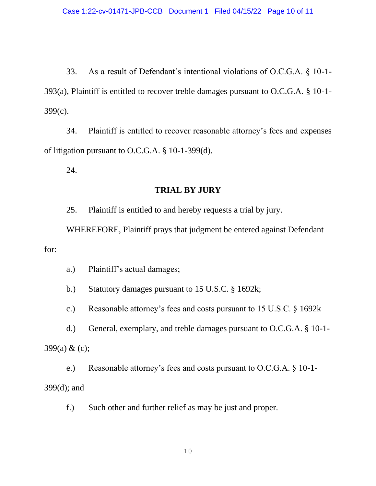33. As a result of Defendant's intentional violations of O.C.G.A. § 10-1- 393(a), Plaintiff is entitled to recover treble damages pursuant to O.C.G.A. § 10-1- 399(c).

34. Plaintiff is entitled to recover reasonable attorney's fees and expenses of litigation pursuant to O.C.G.A. § 10-1-399(d).

24.

### **TRIAL BY JURY**

25. Plaintiff is entitled to and hereby requests a trial by jury.

WHEREFORE, Plaintiff prays that judgment be entered against Defendant for:

a.) Plaintiff's actual damages;

b.) Statutory damages pursuant to 15 U.S.C. § 1692k;

c.) Reasonable attorney's fees and costs pursuant to 15 U.S.C. § 1692k

d.) General, exemplary, and treble damages pursuant to O.C.G.A. § 10-1- 399(a) & (c);

e.) Reasonable attorney's fees and costs pursuant to O.C.G.A. § 10-1- 399(d); and

f.) Such other and further relief as may be just and proper.